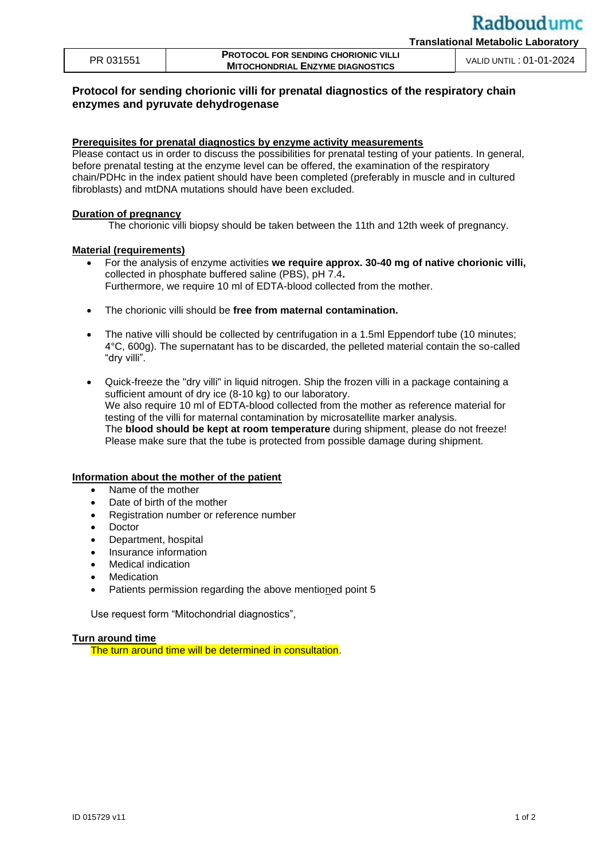| PR 031551 | <b>PROTOCOL FOR SENDING CHORIONIC VILLI</b> |                         |
|-----------|---------------------------------------------|-------------------------|
|           | <b>MITOCHONDRIAL ENZYME DIAGNOSTICS</b>     | VALID UNTIL: 01-01-2024 |

# **Protocol for sending chorionic villi for prenatal diagnostics of the respiratory chain enzymes and pyruvate dehydrogenase**

## **Prerequisites for prenatal diagnostics by enzyme activity measurements**

Please contact us in order to discuss the possibilities for prenatal testing of your patients. In general, before prenatal testing at the enzyme level can be offered, the examination of the respiratory chain/PDHc in the index patient should have been completed (preferably in muscle and in cultured fibroblasts) and mtDNA mutations should have been excluded.

## **Duration of pregnancy**

The chorionic villi biopsy should be taken between the 11th and 12th week of pregnancy.

## **Material (requirements)**

- For the analysis of enzyme activities **we require approx. 30-40 mg of native chorionic villi,**  collected in phosphate buffered saline (PBS), pH 7.4**.** Furthermore, we require 10 ml of EDTA-blood collected from the mother.
- The chorionic villi should be **free from maternal contamination.**
- The native villi should be collected by centrifugation in a 1.5ml Eppendorf tube (10 minutes; 4°C, 600g). The supernatant has to be discarded, the pelleted material contain the so-called "dry villi".
- Quick-freeze the "dry villi" in liquid nitrogen. Ship the frozen villi in a package containing a sufficient amount of dry ice (8-10 kg) to our laboratory. We also require 10 ml of EDTA-blood collected from the mother as reference material for testing of the villi for maternal contamination by microsatellite marker analysis. The **blood should be kept at room temperature** during shipment, please do not freeze! Please make sure that the tube is protected from possible damage during shipment.

## **Information about the mother of the patient**

- Name of the mother
- Date of birth of the mother
- Registration number or reference number
- Doctor
- Department, hospital
- Insurance information
- Medical indication
- **Medication**
- Patients permission regarding the above mentioned point 5

Use request form "Mitochondrial diagnostics",

## **Turn around time**

The turn around time will be determined in consultation.